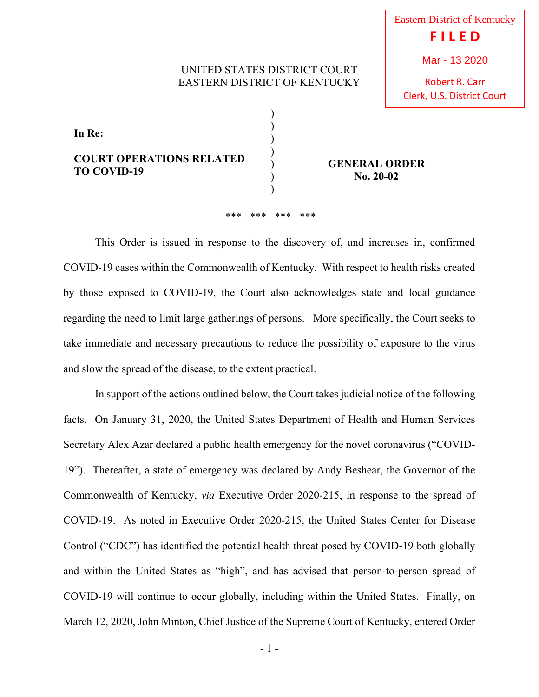## UNITED STATES DISTRICT COURT EASTERN DISTRICT OF KENTUCKY

Robert R. Carr Clerk, U.S. District Court

| In Re:<br><b>COURT OPERATIONS RELATED</b><br><b>TO COVID-19</b> |  |
|-----------------------------------------------------------------|--|

**GENERAL ORDER No. 20-02**

## \*\*\* \*\*\* \*\*\* \*\*\*

This Order is issued in response to the discovery of, and increases in, confirmed COVID-19 cases within the Commonwealth of Kentucky. With respect to health risks created by those exposed to COVID-19, the Court also acknowledges state and local guidance regarding the need to limit large gatherings of persons. More specifically, the Court seeks to take immediate and necessary precautions to reduce the possibility of exposure to the virus and slow the spread of the disease, to the extent practical.

In support of the actions outlined below, the Court takes judicial notice of the following facts. On January 31, 2020, the United States Department of Health and Human Services Secretary Alex Azar declared a public health emergency for the novel coronavirus ("COVID-19"). Thereafter, a state of emergency was declared by Andy Beshear, the Governor of the Commonwealth of Kentucky, *via* Executive Order 2020-215, in response to the spread of COVID-19. As noted in Executive Order 2020-215, the United States Center for Disease Control ("CDC") has identified the potential health threat posed by COVID-19 both globally and within the United States as "high", and has advised that person-to-person spread of COVID-19 will continue to occur globally, including within the United States. Finally, on March 12, 2020, John Minton, Chief Justice of the Supreme Court of Kentucky, entered Order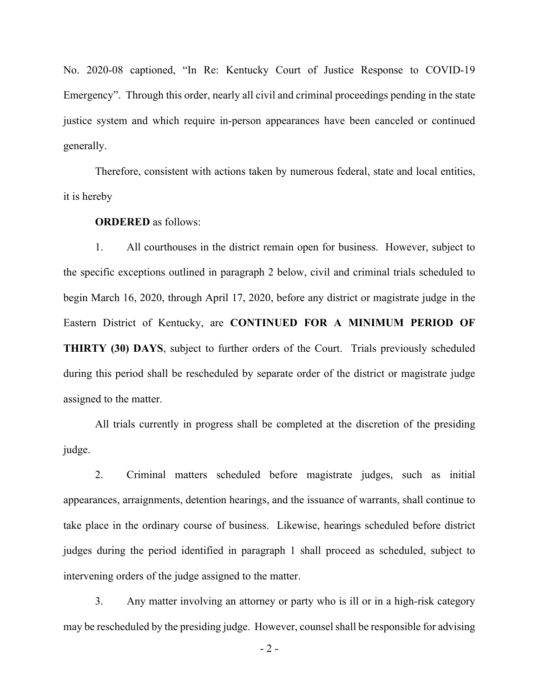No. 2020-08 captioned, "In Re: Kentucky Court of Justice Response to COVID-19 Emergency". Through this order, nearly all civil and criminal proceedings pending in the state justice system and which require in-person appearances have been canceled or continued generally.

Therefore, consistent with actions taken by numerous federal, state and local entities, it is hereby

## **ORDERED** as follows:

1. All courthouses in the district remain open for business. However, subject to the specific exceptions outlined in paragraph 2 below, civil and criminal trials scheduled to begin March 16, 2020, through April 17, 2020, before any district or magistrate judge in the Eastern District of Kentucky, are **CONTINUED FOR A MINIMUM PERIOD OF THIRTY (30) DAYS**, subject to further orders of the Court. Trials previously scheduled during this period shall be rescheduled by separate order of the district or magistrate judge assigned to the matter.

All trials currently in progress shall be completed at the discretion of the presiding judge.

2. Criminal matters scheduled before magistrate judges, such as initial appearances, arraignments, detention hearings, and the issuance of warrants, shall continue to take place in the ordinary course of business. Likewise, hearings scheduled before district judges during the period identified in paragraph 1 shall proceed as scheduled, subject to intervening orders of the judge assigned to the matter.

3. Any matter involving an attorney or party who is ill or in a high-risk category may be rescheduled by the presiding judge. However, counsel shall be responsible for advising

 $-2-$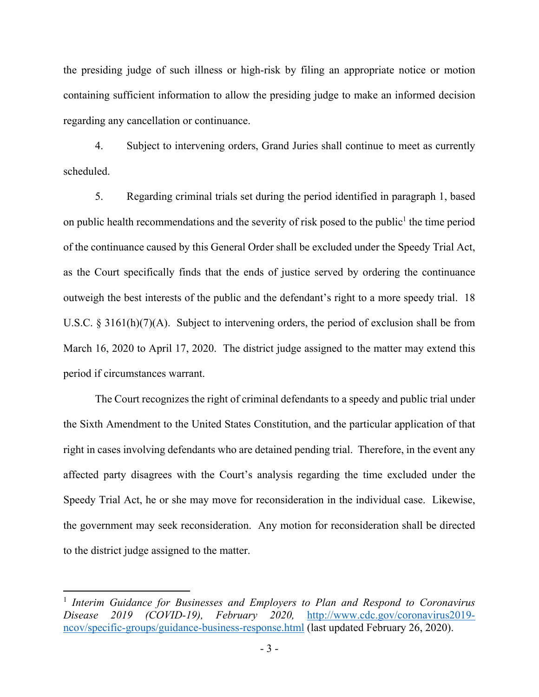the presiding judge of such illness or high-risk by filing an appropriate notice or motion containing sufficient information to allow the presiding judge to make an informed decision regarding any cancellation or continuance.

4. Subject to intervening orders, Grand Juries shall continue to meet as currently scheduled.

5. Regarding criminal trials set during the period identified in paragraph 1, based on public health recommendations and the severity of risk posed to the public<sup>1</sup> the time period of the continuance caused by this General Order shall be excluded under the Speedy Trial Act, as the Court specifically finds that the ends of justice served by ordering the continuance outweigh the best interests of the public and the defendant's right to a more speedy trial. 18 U.S.C. § 3161(h)(7)(A). Subject to intervening orders, the period of exclusion shall be from March 16, 2020 to April 17, 2020. The district judge assigned to the matter may extend this period if circumstances warrant.

The Court recognizes the right of criminal defendants to a speedy and public trial under the Sixth Amendment to the United States Constitution, and the particular application of that right in cases involving defendants who are detained pending trial. Therefore, in the event any affected party disagrees with the Court's analysis regarding the time excluded under the Speedy Trial Act, he or she may move for reconsideration in the individual case. Likewise, the government may seek reconsideration. Any motion for reconsideration shall be directed to the district judge assigned to the matter.

<sup>&</sup>lt;sup>1</sup> Interim Guidance for Businesses and Employers to Plan and Respond to Coronavirus *Disease 2019 (COVID-19), February 2020,* http://www.cdc.gov/coronavirus2019 ncov/specific-groups/guidance-business-response.html (last updated February 26, 2020).